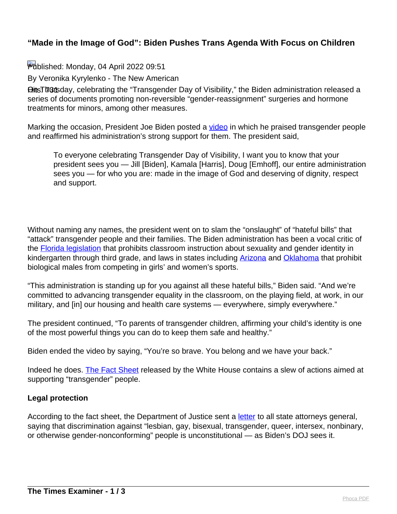### **"Made in the Image of God": Biden Pushes Trans Agenda With Focus on Children**

Published: Monday, 04 April 2022 09:51

By Veronika Kyrylenko - The New American

**Hits: 731 Transday, celebrating the "Transgender Day of Visibility," the Biden administration released a** series of documents promoting non-reversible "gender-reassignment" surgeries and hormone treatments for minors, among other measures.

Marking the occasion, President Joe Biden posted a *[video](https://www.youtube.com/watch?v=8wCjz2SIYVo)* in which he praised transgender people and reaffirmed his administration's strong support for them. The president said,

To everyone celebrating Transgender Day of Visibility, I want you to know that your president sees you — Jill [Biden], Kamala [Harris], Doug [Emhoff], our entire administration sees you — for who you are: made in the image of God and deserving of dignity, respect and support.

Without naming any names, the president went on to slam the "onslaught" of "hateful bills" that "attack" transgender people and their families. The Biden administration has been a vocal critic of the **Florida legislation** that prohibits classroom instruction about sexuality and gender identity in kindergarten through third grade, and laws in states including [Arizona](https://www.msn.com/en-us/news/politics/arizona-governor-signs-bills-restricting-girls-e2-80-99-sports-to-females-banning-abortions-after-15-weeks/ar-AAVGTvw) and [Oklahoma](https://www.msn.com/en-us/news/us/oklahoma-governor-signs-bill-barring-male-students-from-girls-e2-80-99-sports/ar-AAVGq6a) that prohibit biological males from competing in girls' and women's sports.

"This administration is standing up for you against all these hateful bills," Biden said. "And we're committed to advancing transgender equality in the classroom, on the playing field, at work, in our military, and [in] our housing and health care systems — everywhere, simply everywhere."

The president continued, "To parents of transgender children, affirming your child's identity is one of the most powerful things you can do to keep them safe and healthy."

Biden ended the video by saying, "You're so brave. You belong and we have your back."

Indeed he does. [The Fact Sheet](https://www.whitehouse.gov/briefing-room/statements-releases/2022/03/31/fact-sheet-biden-harris-administration-advances-equality-and-visibility-for-transgender-americans/) released by the White House contains a slew of actions aimed at supporting "transgender" people.

### **Legal protection**

According to the fact sheet, the Department of Justice sent a *letter* to all state attorneys general, saying that discrimination against "lesbian, gay, bisexual, transgender, queer, intersex, nonbinary, or otherwise gender-nonconforming" people is unconstitutional — as Biden's DOJ sees it.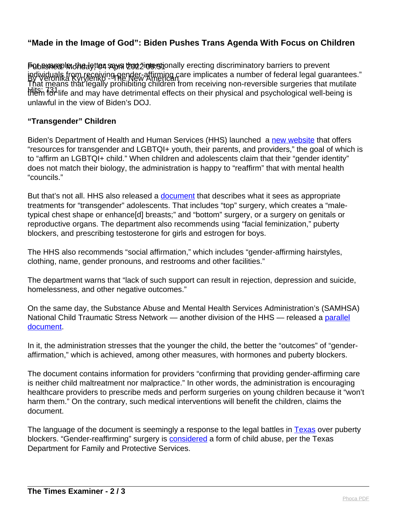# **"Made in the Image of God": Biden Pushes Trans Agenda With Focus on Children**

Published: Intention says that the letter says of Published and Published Published in the venture for prevent individuals from receiving gender-affirming care implicates a number of federal legal guarantees."<br>By Veronika Kyrylenko 9 New American Hits: 731<br>them for life and may have detrimental effects on their physical and psychological well-being is That means that legally prohibiting children from receiving non-reversible surgeries that mutilate unlawful in the view of Biden's DOJ.

#### **"Transgender" Children**

Biden's Department of Health and Human Services (HHS) launched a [new website](http://www.hhs.gov/lgbtqi) that offers "resources for transgender and LGBTQI+ youth, their parents, and providers," the goal of which is to "affirm an LGBTQI+ child." When children and adolescents claim that their "gender identity" does not match their biology, the administration is happy to "reaffirm" that with mental health "councils."

But that's not all. HHS also released a *document* that describes what it sees as appropriate treatments for "transgender" adolescents. That includes "top" surgery, which creates a "maletypical chest shape or enhance[d] breasts;" and "bottom" surgery, or a surgery on genitals or reproductive organs. The department also recommends using "facial feminization," puberty blockers, and prescribing testosterone for girls and estrogen for boys.

The HHS also recommends "social affirmation," which includes "gender-affirming hairstyles, clothing, name, gender pronouns, and restrooms and other facilities."

The department warns that "lack of such support can result in rejection, depression and suicide, homelessness, and other negative outcomes."

On the same day, the Substance Abuse and Mental Health Services Administration's (SAMHSA) National Child Traumatic Stress Network — another division of the HHS — released a [parallel](https://www.nctsn.org/sites/default/files/resources/fact-sheet/gender-affirming-care-is-trauma-informed-care.pdf) [document](https://www.nctsn.org/sites/default/files/resources/fact-sheet/gender-affirming-care-is-trauma-informed-care.pdf).

In it, the administration stresses that the younger the child, the better the "outcomes" of "genderaffirmation," which is achieved, among other measures, with hormones and puberty blockers.

The document contains information for providers "confirming that providing gender-affirming care is neither child maltreatment nor malpractice." In other words, the administration is encouraging healthcare providers to prescribe meds and perform surgeries on young children because it "won't harm them." On the contrary, such medical interventions will benefit the children, claims the document.

The language of the document is seemingly a response to the legal battles in **Texas** over puberty blockers. "Gender-reaffirming" surgery is [considered](https://militaryveteransofdisqus.org/texas-declares-gender-affirming-surgery-a-form-of-child-abuse/) a form of child abuse, per the Texas Department for Family and Protective Services.